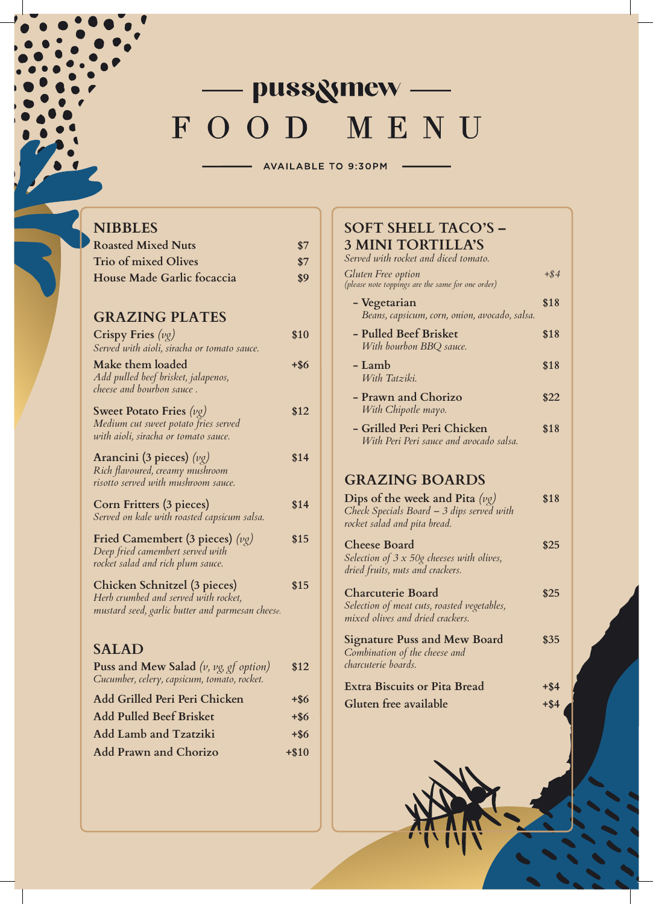# - pussgmew-FOOD MENU

AVAILABLE TO 9:30PM

| <b>NIBBLES</b>                                                        |         |
|-----------------------------------------------------------------------|---------|
| <b>Roasted Mixed Nuts</b>                                             | \$7     |
| <b>Trio of mixed Olives</b>                                           | \$7     |
| House Made Garlic focaccia                                            | \$9     |
|                                                                       |         |
| <b>GRAZING PLATES</b>                                                 |         |
| Crispy Fries $(\nu g)$<br>Served with aioli, siracha or tomato sauce. | \$10    |
| Make them loaded                                                      | $+$ \$6 |
| Add pulled beef brisket, jalapenos,<br>cheese and bourbon sauce.      |         |
|                                                                       |         |
| Sweet Potato Fries $(\nu g)$<br>Medium cut sweet potato fries served  | \$12    |
| with aioli, siracha or tomato sauce.                                  |         |
| Arancini (3 pieces) $(\nu g)$                                         | \$14    |
| Rich flavoured, creamy mushroom                                       |         |
| risotto served with mushroom sauce.                                   |         |
| Corn Fritters (3 pieces)                                              | \$14    |
| Served on kale with roasted capsicum salsa.                           |         |
| Fried Camembert (3 pieces) $(\nu g)$                                  | \$15    |
| Deep fried camembert served with<br>rocket salad and rich plum sauce. |         |
|                                                                       |         |
| Chicken Schnitzel (3 pieces)<br>Herb crumbed and served with rocket,  | \$15    |
| mustard seed, garlic butter and parmesan cheese.                      |         |
|                                                                       |         |
| <b>SALAD</b>                                                          |         |
| <b>Puss and Mew Salad</b> (v, vg, gf option)                          | \$12    |
| Cucumber, celery, capsicum, tomato, rocket.                           |         |
| Add Grilled Peri Peri Chicken                                         | $+$ \$6 |
| <b>Add Pulled Beef Brisket</b>                                        | $+$ \$6 |
| Add Lamb and Tzatziki                                                 | $+$ \$6 |
| <b>Add Prawn and Chorizo</b>                                          | $+ $10$ |
|                                                                       |         |

### **SOFT SHELL TACO'S – 3 MINI TORTILLA'S**

| Served with rocket and diced tomato.                                                                             |         |
|------------------------------------------------------------------------------------------------------------------|---------|
| <b>Gluten Free option</b><br>(please note toppings are the same for one order)                                   | $+$ \$4 |
| - Vegetarian<br>Beans, capsicum, corn, onion, avocado, salsa.                                                    | \$18    |
| - Pulled Beef Brisket<br>With bourbon BBQ sauce.                                                                 | \$18    |
| - Lamb<br>With Tatziki.                                                                                          | \$18    |
| - Prawn and Chorizo<br>With Chipotle mayo.                                                                       | \$22    |
| - Grilled Peri Peri Chicken<br>With Peri Peri sauce and avocado salsa.                                           | \$18    |
| <b>GRAZING BOARDS</b>                                                                                            |         |
| Dips of the week and Pita $(\nu g)$<br>Check Specials Board - 3 dips served with<br>rocket salad and pita bread. | \$18    |
| <b>Cheese Board</b><br>Selection of $3 \times 50$ g cheeses with olives,<br>dried fruits, nuts and crackers.     | \$25    |
| <b>Charcuterie Board</b><br>Selection of meat cuts, roasted vegetables,<br>mixed olives and dried crackers.      | \$25    |
| <b>Signature Puss and Mew Board</b><br>Combination of the cheese and<br>charcuterie boards.                      | \$35    |
| <b>Extra Biscuits or Pita Bread</b>                                                                              | +\$4    |
| Gluten free available                                                                                            | $+$ \$4 |